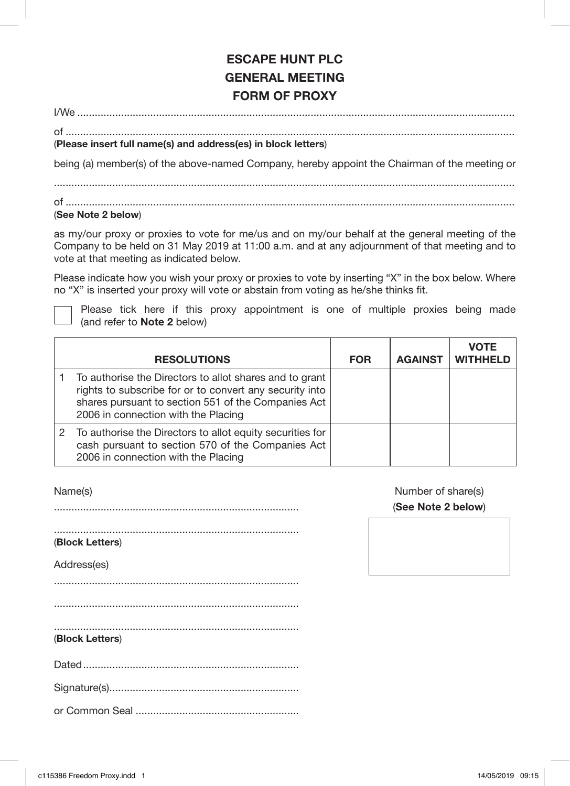# **ESCAPE HUNT PLC GENERAL MEETING FORM OF PROXY**

I/We ......................................................................................................................................................

of ..........................................................................................................................................................

## (**Please insert full name(s) and address(es) in block letters**)

being (a) member(s) of the above-named Company, hereby appoint the Chairman of the meeting or

of ..........................................................................................................................................................

### (**See Note 2 below**)

as my/our proxy or proxies to vote for me/us and on my/our behalf at the general meeting of the Company to be held on 31 May 2019 at 11:00 a.m. and at any adjournment of that meeting and to vote at that meeting as indicated below.

Please indicate how you wish your proxy or proxies to vote by inserting "X" in the box below. Where no "X" is inserted your proxy will vote or abstain from voting as he/she thinks fit.

 Please tick here if this proxy appointment is one of multiple proxies being made (and refer to **Note 2** below)

| <b>RESOLUTIONS</b>                                                                                                                                                                                               | <b>FOR</b> | <b>AGAINST</b> | <b>VOTE</b><br><b>WITHHELD</b> |
|------------------------------------------------------------------------------------------------------------------------------------------------------------------------------------------------------------------|------------|----------------|--------------------------------|
| To authorise the Directors to allot shares and to grant<br>rights to subscribe for or to convert any security into<br>shares pursuant to section 551 of the Companies Act<br>2006 in connection with the Placing |            |                |                                |
| 2 To authorise the Directors to allot equity securities for<br>cash pursuant to section 570 of the Companies Act<br>2006 in connection with the Placing                                                          |            |                |                                |

Name(s)

....................................................................................

.................................................................................... (**Block Letters**)

Address(es)

....................................................................................

## (**Block Letters**)

|--|--|

Signature(s).................................................................

or Common Seal ........................................................

Number of share(s) (**See Note 2 below**)